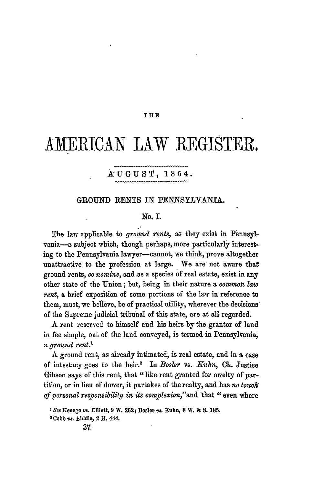### THE

# AMERICAN LAW REGISTER.

# **AUGUST,** 1854.

## **GROUND RENTS IN PENNSYLVANIA.**

# **No. I.**

The law applicable to *ground rents,* as they exist in Pennsylvania-a subject which, though perhaps, more particularly interest- ing **to the** Pennsylvania lawyer-cannot, we think, prove altogether unattractive to the profession at large. We are not aware that ground rents, *eo nomine,* and.as **a** species of real estate, exist in any other state of the Union; but, being in their nature a *common law rent,* **a** brief exposition of some portions of the law in reference to them, must, we believe, be of practical utility, wherever the decisions of the Supreme judicial tribunal of this state, are at all regarded.

A rent reserved to himself and his heirs by the grantor of land in fee simple, out of the land conveyed, is termed in Pennsylvania, a *ground rent.1*

A ground rent, as already intimated, is real estate, and in a ease of intestacy goes to the heir.2 In *Bosler* vs. *Kuhn,* **Ch.** Justice Gibson says of this rent, that "like rent granted for owelty of partition, or in lieu of dower, it partakes of the realty, and has *no touch:* of personal responsibility in its complexion,"and that "even where

*See* Kenege *vs.* Elliott, 9 W. 262; Bosler vs. Kuhn, **8** W. **& S. 185.**

**37.**

<sup>2</sup>Cobb *vs.* biddle, 2 H. 444.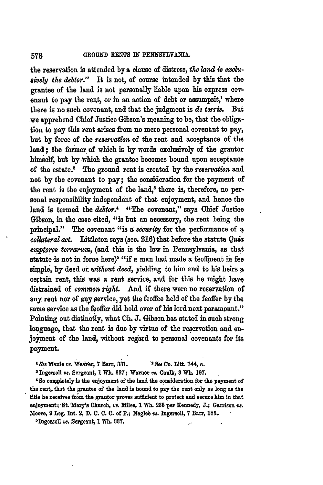the reservation is attended **by** a clause of distress, *the land is excluively the debtor."* It is not, of course intended by this that the grantee of the land is not personally liable upon his express covenant to pay the rent, or in an action of debt or assumpsit,<sup>1</sup> where there is no such covenant, and that the judgment is *de terrie.* But we apprehend Chief Justice Gibson's meaning to be, that the obligation to **pay** this rent arises from no mere personal covenant to pay, but **by** force of the *reservation* of the rent and acceptance of the land; the forner of which is **by** words exclusively of the grantor himself, but **by** which the grantee becomes bound upon acceptance of the estate.2 The ground rent is created by the *reservation* and not **by** the covenant to pay; the consideration for the payment of the rent is the enjoyment of the land,<sup>3</sup> there is, therefore, no personal responsibility independent of that enjoyment, and hence the land is termed the *debtor.*<sup>4</sup> "The covenant," says Chief Justice Gibson, in the case cited, "is but an accessory, the rent being the principal." The covenant "is a *security* for the performance'of **a** *collateral act.* Littleton says (sec. **216)** that before the statute *Quid enptores terrarum,* (and this is the law in Pennsylvania, as that statute is not in force here)<sup>5</sup> "if a man had made a feoffment in fee **sinple, by** deed or *without deed,* yielding to him and to his heirs **a** certain rent, this was a rent service, and for this he might have diatrained of *common right.* **And** if there were no reservation of any rout nor of **any** service, yet the feoffee held of the feoffer **by** the same service as the feoffer did hold over of his lord next paramount." Pointing out distinctly, what **Ch. J.** Gibson has stated in such strong language, that the rent is due **by** virtue of the reservation and enjoyment of the land, without regard to personal covenants for its payment.

*ItSaMaule vs.* Weavbr, **7** Barr, **8'1.** *2fles* Co. Litt. 144, **a.**

**3 Ingersoll** *vs.* Sergeant, **1** Wh. **887;** Warner *v8.* Caulk, **8** Wh. **197.**

<sup>4</sup> So completely is the enjoyment of the land the consideration for the payment of the rent,. **that** the grantee of the land is bound to **pay** the rent only as long as the title he receives from the **grantor** proves sufficient to protect and secure him in that enjoyment; *" St.* Mary's Church, vs. Miles, **1** Wh. **285** per Kennedy, **J.;** Garrison *vs.* Moore, **9** Leg. lat. 2, **D. C. C. C.** of P.; Nsgleb *vs.* Ingersoll, 7 Barr, **185-**

61ngersoll *v.* Sergeant, **1 Wh. 837.** -

578

£.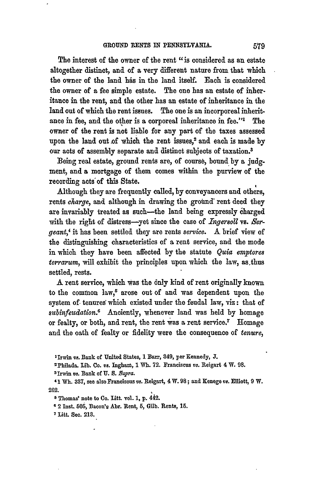The interest of the owner of the rent "is considered as an estate altogether distinct, and of a very different nature from that which the owner of the land his in the land itself. Each is considered the owner of a fee simple estate. The one has **an** estate of inheritance in the rent, and the other has an estate of inheritance in the land out of which the rent issues. The one is an incorporeal inheritance in fee, and the other is **a** corporeal inheritance in fee."' The owner of the rent is not liable for any part of the taxes assessed upon the land out of which the rent issues,<sup>2</sup> and each is made by our acts of assembly separate and distinct subjects of taxation.8

Being real estate, ground rents are, of course, bound **by a judg**ment, and a mortgage of them comes within the purview of the recording acts'of this State.

Although they are frequently called, **by** conveyancers and others, rents *charge*, and although in drawing the ground rent deed they are invariably treated as such-the land being expressly 6harged with the right of distress-yet since the case of *Ingersoll* vs. Ser*geant,4* it has been settled they are rents *service.* **A** brief view of the distinguishing characteristics of a rent service, and the mode in which they have been affected **by** the statute *Quid emptores* terrarum, will exhibit the principles upon which the law, as thus settled, rests.

**A** rent service, which was the 6nly kind of rent originally known to the common law,<sup>5</sup> arose out of and was dependent upon the system of tenures which existed under the feudal law, viz: that of *subinfeudation.6* Anciently, whenever **land** was held **by** homage or fealty, or both, and rent, the rent was a rent service.<sup>7</sup> Homage and the oath of fealty or fidelity were the consequence of *tenure,*

**7** Litt. Sec. 213.

<sup>2</sup> **Irwin vs.** Bank of United States, **1** Bar, 349, per Kennedy, **J.**

<sup>2</sup>Philada. Lib. Co. **vs.** Inghamt, **1** Wh. **72.** Franciscus *vs.* Reigart 4 W. **98.**

sIrwin *vs.* Bank of **U. S.** *Supra.*

**<sup>41</sup>** Wh. **337,** see also Franciscus **58.** Reigart, 4 W. **98;** and Kenege *vs.* Elliott, **9** W. **262.**

**<sup>5</sup>** Thomas' note to Co. Litt. vol. **1, p.** 442.

*<sup>6</sup>* 2 Inst. **505,** Bacon's Abr. Rent, **5,** Gilb. Rents, *15.*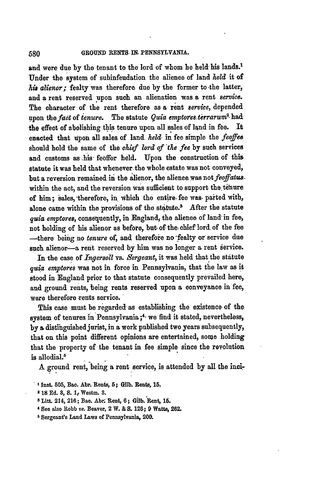and were due by the tenant to the lord of whom he held his lands.<sup>1</sup> Under the system of subinfeudation the alienee of land held it of *his alienor;* fealty was therefore due **by** the former to -the latter, and a rent reserved upon such an alienation was **a** rent *service.* The character of the rent therefore as **a** rent *8erviee,* depended upon the *fact* of tenure. The statute *Quia emptores terrarum*<sup>2</sup> had the effect of abolishing this tenure upon all sales of land in fee. It enacted that upon all sales of land. *held-* in fee simple the *feoffee* should hold the same of the *chief lord of 'the fee* **by** such services and customs as .his- feoffor held. Upon the construction of this statute it was held that whenever, the whole estate was not conveyed, but a reversion remained in the alienor, the alience was not feoffatus. within the act, and the reversion was sufficient to support the tenure of him; sales, -therefore, in which the entire. fee was. parted with, alone came within the provisions of the statute.<sup>3</sup> After the statute *quia emptores, consequently, in England, the alienee of land in fee,* not holding of his alienor as before, but of the chief lord. of the fee -there being no *tenure* of, and therefore no fealty or service due such alienor-a rent reserved by him was no longer a rent service.

In the case of *Ingersoll* vs. *Sergeant*, it was held that the statute *quia emytores* was not in force in Pennsylvania, that the law as it stood in England prior to that statute consequently prevailed here, and ground rents, being rents reserved upon a conveyance in fee, were therefore rents service.

This case must be regarded as establishing the existence- of the system of tenures in Pennsylvania **;4** we find it stated, nevertheless, **by** a distihguished jurist, in **a** work published two years subsequently, that on this point different opinions are entertained, some holding that the property of the tenant in fee simple since the revolution is allodial.5

A ground rent, being a rent service, is attended **by** all the inci-

**2 18 Ed. 8,** *S. 1* **Westm. 3.**

<sup>&</sup>lt;sup>1</sup> Inst. 505, Bac. Abr. Rents, 5; Gilb. Rents, 15.

**<sup>3</sup> Litt. 214, 216; Bao. Abr. Rent, 6; Ghb. IRent, 16.**

<sup>4</sup> **See also Robb** *vs.* **Beaver, 2 W. & S. 126; 9 Watts, 262.**

**Sergeant's Land Laws of Pennsylvania, 200.**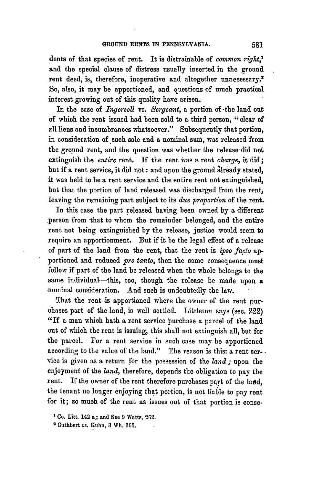dents of that species of rent. It is distrainable of *common right,'* and the special clause of distress usually inserted in the ground rent deed, is, therefore, inoperative and altogether unnecessary.<sup>2</sup> **So,** also, it may be apportioned, and questions of much practical interest growing out of this quality have arisen.

In the case of *Ingersoll* vs. *Sergeant,* a portion of -the land out of which the rent issued had been sold to a third person, "clear of all liens and incumbrances whatsoever." Subsequently that portion, in consideration of such sale and a nominal sum, was released from the ground rent, and the question was whether the release- did not extinguish the *entire* rent. **If** the rent was a rent *charge,* it did; but if a rent service, it did not: and upon the ground already stated, it was held to be a rent service and the entire rent not extinguished, but that the portion of land released was discharged from the rent, leaving the remaining part subject to its *due proportion* of the rent.

In this case the part released having been owned **by** a different .person from -that to whom the remainder belonged, and the entire rent not being extinguished **by** the release, justice would seem to require an apportionment. But if it be the legal effect of a release of part of the land from the rent, that the rent is *ipso facto* apportioned and reduced *pro tanto,* then the same consequence must follow if part of the land be released when the whole belongs to the same individual-this, too, though the release be made upon a nominal consideration. And such is undoubtedly the law.

That the rent is apportioned where the owner of the rent purchases part of the land, is well settled. Littleton says (see. 222) "If a man which hath a rent service purchase a parcel of the land out of which the rent is issuing, this shall not extinguish all, but for the parcel. For a rent service in such case may be apportioned according to the value of the land." The reason is this: a rent ser-. vice is given as a return for the possession of the *land;* upon the enjoyment of the *land,* therefore, depends the obligation to pay the rent. If the owner of the rent therefore purchases part of the land, the tenant no longer enjoying that portion, is not liable to **pay** rent for it; so much of the rent as issues out of that portion is conse-

**I Co. Litt. 142 a; and See 9** Watts, **262.**

**Cuthbert va. Kuhn, 3 Wh. 365.**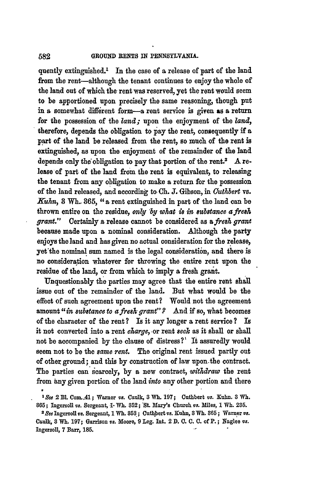quently extinguished.<sup>1</sup> In the case of a release of part of the land from the rent-although the tenant continues to enjoy the whole of the land out of which the rent was reserved, yet the rent would seem to be apportioned upon precisely the same reasoning, though put in a somewhat different form-a rent service is given **as a** return for the possession of the *land;* upon the enjoyment of the land, therefore, depends the obligation to pay the rent, consequently if a part of the land be released from the rent, so much of the rent is extinguished, as upon the enjoyment of the remainder of the land depends only the obligation to pay that portion of the rent.<sup>2</sup> A release of part of the land from the rent is equivalent, to releasing the tenant from any obligation to make a return for the possession of the land released, and according to Ch. **J.** Gibson, in *Cuthbert* vs. *Kuhn,* **3** Wh.. **365, "a** rent extinguished in part of the land can be thrown entire on the residue, only by what is in substance a fresh *grant."* Certainly **a** release cannot be considered as *afresh grant* because made upon **a** nominal consideration. Although the party enjoys the land and has given no actual consideration for the release, yet the nominal sum named is the legal consideration, and there is no consideration whatever for throwing the entire rent upon the residue of the land, or from which to imply a fresh grant.

Unquestionably the parties may agree that the entire rent shall issue out of the remainder of the land. But what would **be** the effect of such agreement upon the rent? Would not the agreement amount "in substance to a fresh grant"? And if so, what becomes of the character of the rent? Is it any longer a rent service? **Is** it not converted into a rent *charge*, or rent seck as it shall or shall not be accompanied **by** the clause of distress?' It assuredly would seem not to be the *same rent.* The original rent issued partly out of other ground; and this **by** construction of law upon.the contract. The parties can scarcely, **by** a new contract, *withdraw* the rent from **any** given portion of the land *into* any other portion and there

*<sup>1</sup>S* 2 BL **Corn** .41; Warner *vs.* Caulk, **3 Wh. 197;** Cuthbert *vs.* Kuhn. **3 Wh.** 365; Ingersoll vs. Sergeant, 1 Wh. 352; St. Mary's Church vs. Miles, 1 Wh. 235.<br><sup>2</sup> See Ingersoll vs. Sergeant, 1 Wh. 353; Cuthbert vs. Kuhn, 3 Wh. 365; Warner vs.

Caulk, **3 Wh. 197;** Garrison *vs.* Moore, **9** Leg. Int. 2 **D. C. C. C.** of P. **;** Naglee *vs.* Ingersoll, **7** Barr, **185.** -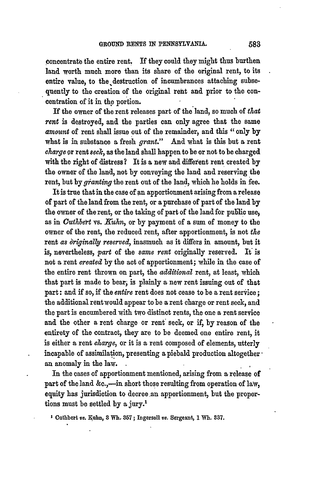concentrate the entire rent. If they could they might thus burthen land worth much more than its share of the original rent, to its entire value, to the destruction of incumbrances attaching subsequently to the creation of the original rent and prior to the concentration of it in **the** portion.

If the owner of the rent releases part of the land, so much of *that* rent is destroyed, and the parties can only agree that the same *amount* of rent shall issue out of the remainder, and this " only **by** what is in substance a fresh *grant."* And what is this but a rent *charge* or rent *seek,* as the land shall happen to be or not to be charged with the right of distress? It is **a** new and different rent created **by** the owner of the land, not **by** conveying the land and reserving the rent, but **by** *gianting* the rent out of the land, which he holds in fee.

It is true that in the case of an apportionment arising from a release of part of the land from the rent, or a purchase of part of the land **by** the owner of the rent, or the taking of part of the land for public use as in *Cuthbet* vs. *Kuhn,* or **by** payment of a sum of money to the owner of the rent, the reduced rent, after apportionment, is not the rent *as ariginally reserved,* inasmuch as it differs in amount, but it is, nevertheless, *part* of the *same rent* originally reserved. It is not a rent *created* **by** the act of apportionment; while in the case of the entire rent thrown on part, the *additional* rent, at least, which that part is made to bear, is plainly a new rent issuing out of that part: and if so, if the *entire* rent does not cease to be a rent service; the additional rent would appear to be a rent charge or rent seek, and the part is encumbered with two distinct rents, the one a rent service and the other a rent charge or rent seek, or if, **by** reason of the entirety of the contract, they **are** to be deemed one entire rent, it is either a rent *charge,* or it is a rent composed of elements, utterly incapable of assimilation, presenting a piebald production altogether**an** anomaly in the law.

In the cases of apportionment mentioned, arising from a release of part of the land &c.,-in short those resulting from operation of law, equity has jurisdiction to decree .an apportionment, but the proportions must be settled **by** a jury.'

**I Cuthbert** *vs.* **Kuhn, 3 Wh, 357; Ingersoll** *vs.* **Sergeant, 1 Wh. 837.**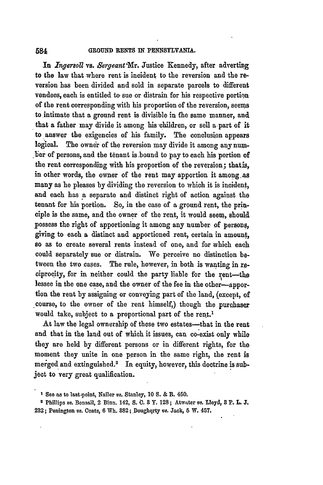#### **GROUND RENTS IN PENNSYLVANIA.**

In *Ingersoll* vs. *Sergeant Mr.* Justice Kennedy, after adverting to the law that where rent is incident to the reversion and the reversion has been divided and sold in separate parcels to different vendees, each is entitled to sue or distrain for his respective portion of the rent corresponding with his proportion of the reversion, seems to intimate that a ground rent is divisible in the same manner, and that a father may divide it among his children, or sell a part of it to answer the exigencies of his family. The conclusion appears logical. The owner of the reversion may divide it among any num-Ber of persons, and the tenant is .bound to pay to each his portion of the rent corresponding with his proportion of the reversion; thatis, in other words, the owner of the rent may apportion it among.as many as he pleases by dividing the reversion to which it is incident, and each has a separate and distinct right of action against the tenant for his portion. So, in the case of a ground rent, the principle is the same, and the owner of the rent, it would seem, should possess the right of apportioning it among any number **of** persons, giving to each a distinct and apportioned rent, certain in amount, so as to create several rents instead of one, and for which each could separately sue or distrain. We perceive no distinction between the two cases. The rule, however, in both is wanting in reciprocity, for in neither could the party liable for the rent-the lessee in the one case, and the owner of the fee in the other--apportion the rent **by** assigning or conveying part of the land, (except, of .course, to the owner of the rent himself,) though the purchaser would take, subject to a proportional part of the rent.<sup>1</sup>

At law the legal ownership of these two estates--that in the rent and that in the land out of which it issues, can co-exist only while they are held **by** different persons or in different rights, for the moment they unite in one person in the same right, the rent is merged and extinguished.' In equity, however, this doctrine is subject to very great qualification.

**I See as to last.point, Nailer** *vs.* **Stanley, 10 S. & R. 450.**

<sup>2</sup>**Phillips** *vs.* **Bonsall, 2 Binn. 142, S.** 0. **8 Y. 128; Atwater** *vs.* **Lloya, 8 r. L J. 282; Penington** *vs.* **Coats, 6 Wh. 882; Doughqrty vs. Jack, 5 W. 457.**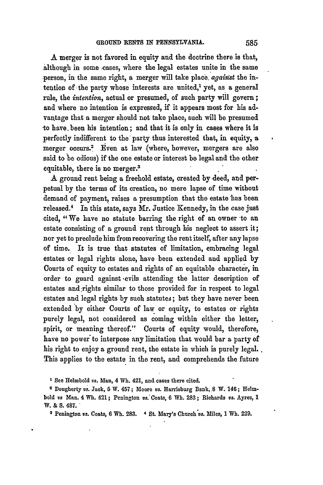**A** merger is not favored in equity and the doctrine there is that, although in some cases, where the legal estates unite in the same person, in the same right, a merger will take place. *against* the intention of the party whose interests are united,' yet, as a general rule, the *intention*, actual or presumed, of such party will govern; and where no intention is expressed, if it appears most for his advantage that a merger should not take place, such will be presumed to have. been his intention; and that it is only in cases where it is perfectly indifferent to the party thus interested that, in equity, a merger occurs.<sup>2</sup> Even at law (where, however, mergers are also said to be odious) if the one estate or interest be legal and the other equitable, there is no merger.<sup>3</sup>

**A** ground rent being a freehold estate, created **by** deed, and perpetual **by** the terms of its creation, no mere lapse of time without demand of payment, raises a presumption that the estate has been released.4 In this state, says Mr. Justice Kennedy, in the case just cited, **"We** have no statute barring the right of an owner to an estate consisting of a ground rent through his neglect to assert it; nor yet to preclude him from recovering the rent itself, after any lapse of time. It is true that statutes of limitation, embracing legal estates or legal rights alone, have been extended and applied **by** Courts of equity to estates and rights of an equitable character, in order to guard against 'evils attending the latter description of estates and rights similar to those provided for in respect to legal estates and legal rights **by** such statutes; but they have never been extended **by** either Courts of law or equity, to estates or rights purely legal, not considered as coming within either the letter, spirit, or meaning thereof." Courts of equity would, therefore, have no power' to interpose any limitation that would bar a party of his right to enjoy a ground rent, the estate in which is purely legal. This applies to the estate in the rent, and comprehends the future

**See HeImbold** *vs.* **Man, 4 Wh. 421,** *and* **cases there cited.**

± **Dougherty** *vs.* **Jack, 5 W. 457; Moore** *vs.* **Harrisburg Bank, 8 W. 146; Helm**bold vs **Man. 4 Wh. 421; Penington vs.'Coats, 6 Wh. 283; Richards** *vs.* **Ayres, 1 W. & S. 487.**

**3 Penington** *vs.* **Coats, 6 Wh. 283.** 4 **St. Mary's Church** *vs.* **Miles, 1 Wh. 229.**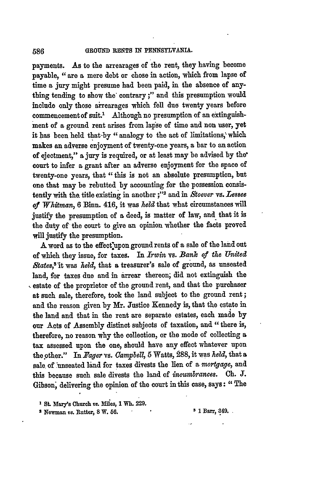payments. As to the arrearages of the rent, they having become payable, **1 "** are a mere debt or chose in action, which from lapse of time a jury might presume had been paid, in the absence of anything tending to show the contrary;" and this presumption would include only those airearages which fell due twenty years before commencement of suit.' Although no presumption of an extinguishment of **a** ground rent arises from lapse of time and non user, yet it has been held that-by " analogy to the act of limitations, which makes an adverse enjoyment of twenty-one years, a bar to an action of ejectment," a jury is required, or at least may be advised **by** the" court to infer a grant after an adverse enjoyment for the space of twenty-one years, that " this is not an absolute presumption, but one that may be rebutted **by** accounting for the possession consistently with the title existing in another ;"<sup>2</sup> and in *Stoever* vs. *Lessee of Whitman,* **6** Binn. 416, it was *held* that what circumstances will justify the presumption of a deed, is matter of law, and that it is the duty of the court to give an opinion whether the facts proved will justify the presumption.

 $A$  word as to the effect upon ground rents of a sale of the land out of which they issue, for taxes. **In** *Irwin* vs. *Bank of the United States,31it* was *held,* that **a** treasurer's sale of ground, as unseated land, for taxes due and in arrear thereon; did not extinguish the t estate of the proprietor of the ground rent, and that the purchaser at such sale, therefore, took the land subject to the ground rent; and the reason given **by** Mr. Justice Kennedy is, that the estate in the land and that in the rent are separate estates, each made by our Acts of Assembly distinct subjects of taxation, and " there is, therefore, no reason why the collection, or the mode of collecting a tax assessed upon the one, should have any effect whatever upon thepther." In *Tfager* vs. *Campbell,* **5** Watts, **288,** it was *held,* that a sale of 'unseated land for taxes divests the lien of a *mortgage,* and this because such sale divests the land of *incumbrances.* **Ch. J.** Gibson; delivering the opinion of the court in this case, says: "The

<sup>1</sup> St. Mary's Church vs. Miles, 1 Wh. 229.

<sup>2</sup> Newman *vs.* Rutter, 8 W. 56. 3 1 Barr,  $349.$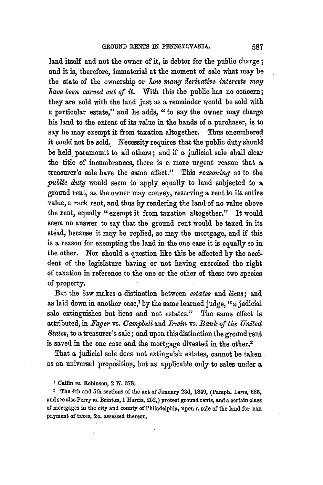land itself and not the owner of it, is debtor for the public charge; and it is, therefore, immaterial at the moment of sale what may be the state of the ownership or *how many derivative interests may have been carved out of it.* With this the public has no concern; they are sold with the land just as a remainder would be sold with a particular estate," and he adds, "to say the owner may charge his land to the extent of its value in the hands of a purchaser, is to say he may exempt it from taxation altogether. Thus encumbered it could not be sold. Necessity requires that the public duty should be held paramount to all others; and if a judicial sale shall clear the title of incumbrances, there is a more urgent reason that **a** treasurer's sale have the same effect." This *reasoning* as to the *public duty* would seem to **apply** equally to land subjected to a ground rent, as the owner may convey, reserving a rent to its entire value, a rack rent, and thus **by** rendering the land of no value above the rent, equally " exempt it from taxation altogether." It would seem no answer to say that the ground rent would be taxed in its stead, because it may be replied, so may the mortgage, and if this is a reason for exempting the land in the one case it is equally so in the other. Nor should **a** question like this be affected **by** the accident of the legislature having or not having exercised the right of taxation in reference to the one or the other of these two species of property.

But the law makes **a** distinction between *estates* and *liens;* and as laid down in another case,1 by the same learned judge, *"a* judicial sale extinguishes but liens and not estates." The same effect is attributed, in *Fager* vs. *Campbell* and *Irwin* vs. *Bank of the United States,* to a treasurer's sale; and upon this distinction the ground rent is saved in the one case and the mortgage divested in the other.<sup>2</sup>

That a judicial sale does not extinguish estates, cannot be taken . as an universal propoition, but as applicable only to sales under a

**I** Catlin *vs.* Robinson, 2 W. **378.**

**2** The 4th and 5th sections of the act of January **23d,** 1849, (Pamph. Laws, 686, and see also Perry vs. Brinton, **I** Harris, **202,)** protect ground rents, and a certain class of mortgages in the city and county of Philadelphia, upon a sale of the land for **non** payment of taxes, **&c.** assessed thereon.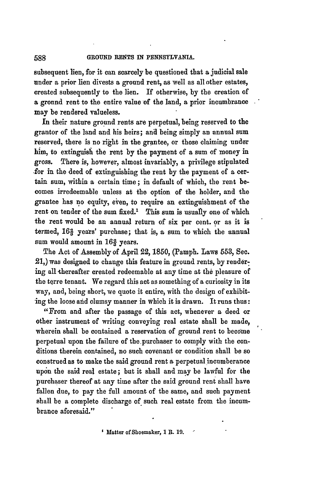#### **GROUND** RENTS **IN** PENNSYLVANIA.

subsequent lien, for it can scarcely be questioned that a judicial sale under a prior lien divests a ground rent, as well as all other estates, created subsequently to the lien. If otherwise, **by** the creation of a gronnd rent to the entire value of the land, a prior incumbrance may be rendered valueless.

**In** their nature ground rents are perpetual, being reserved to the grantor of the land and his heirs; and being simply an annual sum reserved, there is no right in the grantee, or those claiming under him, to extinguish the rent **by** the payment of a sum of money in gross. There is, however, almost invariably, a privilege stipulated .for in the deed **of** extinguishing the rent **by** the payment of a certain sum, within a certain time; in default of which, the rent becomes irredeemable unless at the option of the holder, and the grantee has no equity, even, to require an extinguishment of the rent on tender of the sum fixed.' This sum is usually one of which the rent would be an annual return of six per cent. or as it is termed, 16<sup>3</sup> years' purchase; that is, a sum to which the annual sum would amount in  $16\frac{2}{3}$  years.

The Act of Assembly of April 22, **1850,** (Pamph. Laws **553, Sec.** 21,) was designed to change this feature in ground rents, **by** rendering all thereafter created redeemable at any time at the pleasure of the terre tenant. We regard this act as something of a curiosity in its way, and, being short, we quote it entire, with the design of exhibiting the loose and clumsy manner in which it is drawn. It runs thus:

"From and after the passage of this act, whenever a deed or other instrument of writing conveying real estate shall be made, wherein shall be contained a reservation of ground rent to become perpetual upon the failure of the.purchaser to comply with the conditions therein contained, no such covenant or condition shall be so construed as to make the said ground rent **a** perpetual incumberance upon the said real estate; but it shall and **may** be lawful for the purchaser thereof at any time after the said ground rent shall have fallen due, to pay the full amount of the same, and such payment shall be a complete discharge of such real estate from the incumbrance aforesaid."

**I** Matter of Shoemaker, **1 R. 19.**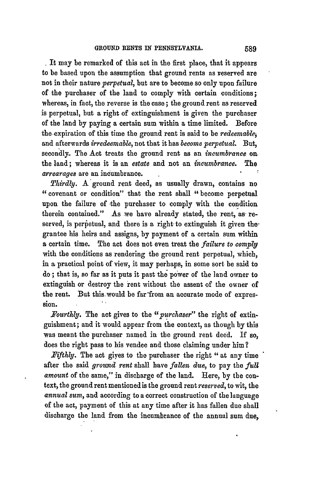**.** It may be remarked of this act in the first place, that it appears to be based upon the assumption that ground rents as reserved are not in their nature *erpetual,* but are to become so only upon failure of the purchaser of the land to comply with certain conditions; whereas, in fact, the reverse is the case; the ground rent as reserved is perpetual, **but** a right of extinguishment is given the purchaser of the land **by** paying a certain sum within a time limited. Before the.expiration of this time the ground rent is said to be *redeemable,* and afterwards *irredeemable,* not that it has *become perpetual.* But, secondly. The Act treats the ground rent as an *incumbrance* on. the land; whereas it is an *estate* and not an *incumbrance.* The *arrearages* are an incumbrance.

*Thirdly.* A 'ground rent deed, as usually drawn, contains no " covenant or condition" that the rent shall "become perpetual upon the failure of the purchaser to comply with the condition therein contained." As we have already stated, the rent, as reserved, is perpetual, and there is a right to extinguish it given thegrantee his heirs and assigns, by payment of a certain sum within a certain time. The act does not even treat the *failure to comply* with the conditions as rendering the ground rent perpetual, which, in a practical point of view, it may perhaps, in some sort be said to do **;** that is, so far as it puts it past the power of the land owner to extinguish or destroy the rent without the assent of the owner of the rent. But this would be far-from an accurate mode of expression.

*.Fourthly.* The act gives to the *"purchaser"* the right of extinguishment; and it would appear from the context, as though **by** this was meant the purchaser named in the ground rent deed. If so, does the right pass to his vendee and those claiming under him?

*Fifthly.* The act gives to the purchaser the right *"at* any time after the said *ground rent* shall have *fallen due,* to pay the *full amount* of the same," in discharge of the land. Here, by the context, the ground rent mentioned is the ground rent *reserved,* to wit, the *annual sum,* and according to a correct construction of the language of the act, payment of this at any time after it has fallen due shall discharge the land from the incumbrance of the annual sum due,